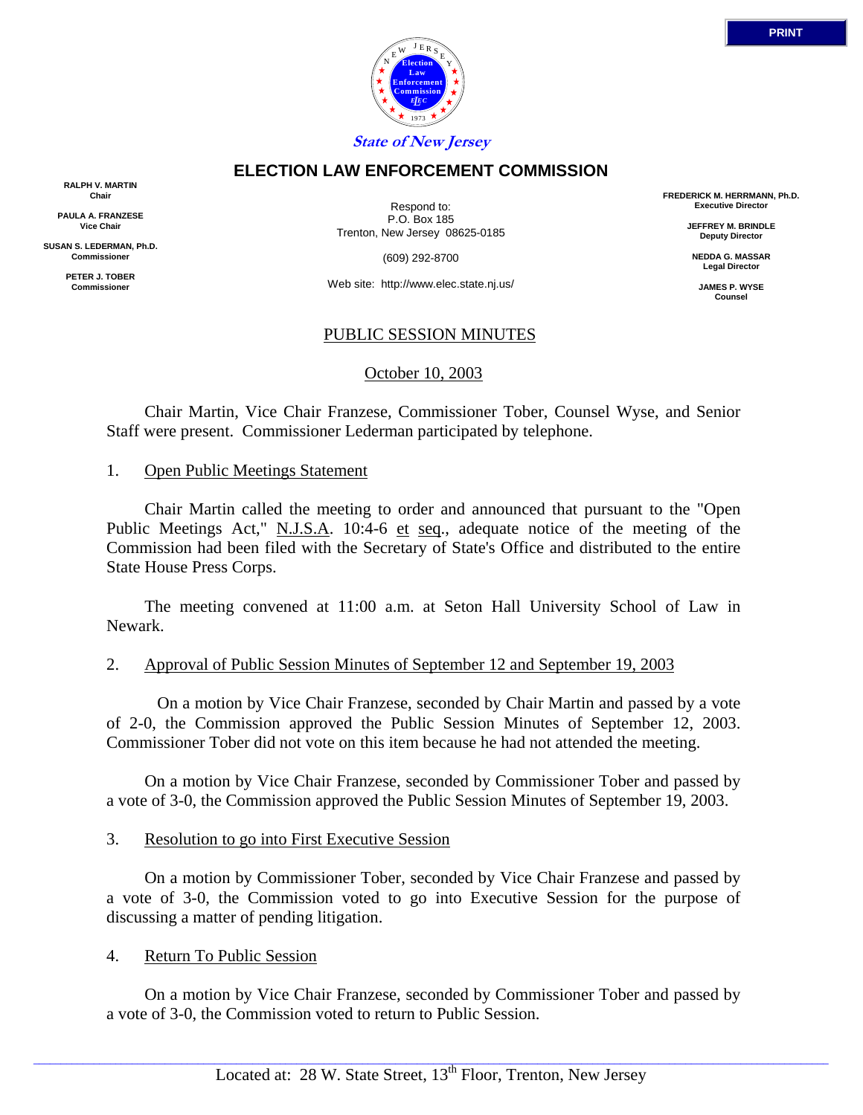

## **ELECTION LAW ENFORCEMENT COMMISSION**

**RALPH V. MARTIN Chair**

**PAULA A. FRANZESE Vice Chair**

**SUSAN S. LEDERMAN, Ph.D. Commissioner**

> **PETER J. TOBER Commissioner**

Respond to: P.O. Box 185 Trenton, New Jersey 08625-0185

(609) 292-8700

Web site: http://www.elec.state.nj.us/

## PUBLIC SESSION MINUTES

October 10, 2003

 Chair Martin, Vice Chair Franzese, Commissioner Tober, Counsel Wyse, and Senior Staff were present. Commissioner Lederman participated by telephone.

## 1. Open Public Meetings Statement

 Chair Martin called the meeting to order and announced that pursuant to the "Open Public Meetings Act," N.J.S.A. 10:4-6 et seq., adequate notice of the meeting of the Commission had been filed with the Secretary of State's Office and distributed to the entire State House Press Corps.

 The meeting convened at 11:00 a.m. at Seton Hall University School of Law in Newark.

## 2. Approval of Public Session Minutes of September 12 and September 19, 2003

 On a motion by Vice Chair Franzese, seconded by Chair Martin and passed by a vote of 2-0, the Commission approved the Public Session Minutes of September 12, 2003. Commissioner Tober did not vote on this item because he had not attended the meeting.

 On a motion by Vice Chair Franzese, seconded by Commissioner Tober and passed by a vote of 3-0, the Commission approved the Public Session Minutes of September 19, 2003.

## 3. Resolution to go into First Executive Session

 On a motion by Commissioner Tober, seconded by Vice Chair Franzese and passed by a vote of 3-0, the Commission voted to go into Executive Session for the purpose of discussing a matter of pending litigation.

## 4. Return To Public Session

 On a motion by Vice Chair Franzese, seconded by Commissioner Tober and passed by a vote of 3-0, the Commission voted to return to Public Session.

 $\_$  ,  $\_$  ,  $\_$  ,  $\_$  ,  $\_$  ,  $\_$  ,  $\_$  ,  $\_$  ,  $\_$  ,  $\_$  ,  $\_$  ,  $\_$  ,  $\_$  ,  $\_$  ,  $\_$  ,  $\_$  ,  $\_$  ,  $\_$  ,  $\_$  ,  $\_$  ,  $\_$  ,  $\_$  ,  $\_$  ,  $\_$  ,  $\_$  ,  $\_$  ,  $\_$  ,  $\_$  ,  $\_$  ,  $\_$  ,  $\_$  ,  $\_$  ,  $\_$  ,  $\_$  ,  $\_$  ,  $\_$  ,  $\_$  ,

**FREDERICK M. HERRMANN, Ph.D. Executive Director**

> **JEFFREY M. BRINDLE Deputy Director**

**NEDDA G. MASSAR Legal Director**

**JAMES P. WYSE Counsel**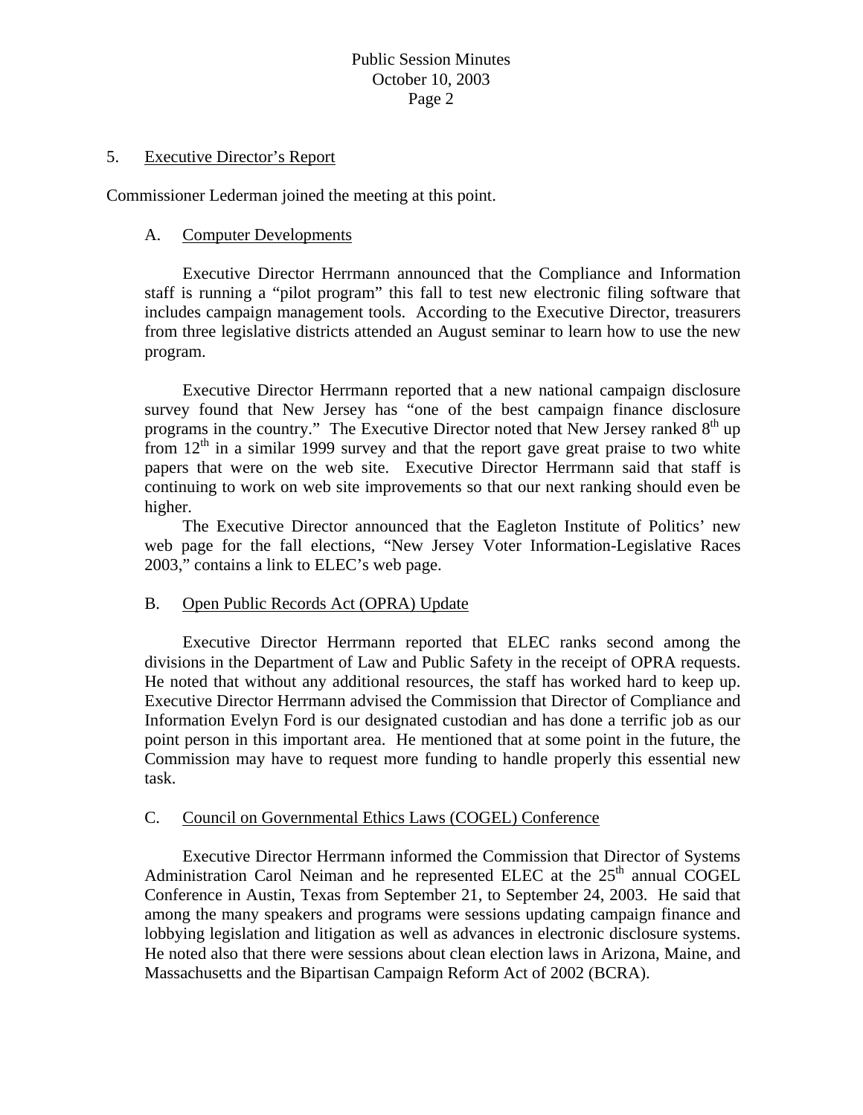# Public Session Minutes October 10, 2003 Page 2

#### 5. Executive Director's Report

Commissioner Lederman joined the meeting at this point.

## A. Computer Developments

Executive Director Herrmann announced that the Compliance and Information staff is running a "pilot program" this fall to test new electronic filing software that includes campaign management tools. According to the Executive Director, treasurers from three legislative districts attended an August seminar to learn how to use the new program.

Executive Director Herrmann reported that a new national campaign disclosure survey found that New Jersey has "one of the best campaign finance disclosure programs in the country." The Executive Director noted that New Jersey ranked  $8<sup>th</sup>$  up from  $12<sup>th</sup>$  in a similar 1999 survey and that the report gave great praise to two white papers that were on the web site. Executive Director Herrmann said that staff is continuing to work on web site improvements so that our next ranking should even be higher.

The Executive Director announced that the Eagleton Institute of Politics' new web page for the fall elections, "New Jersey Voter Information-Legislative Races 2003," contains a link to ELEC's web page.

## B. Open Public Records Act (OPRA) Update

 Executive Director Herrmann reported that ELEC ranks second among the divisions in the Department of Law and Public Safety in the receipt of OPRA requests. He noted that without any additional resources, the staff has worked hard to keep up. Executive Director Herrmann advised the Commission that Director of Compliance and Information Evelyn Ford is our designated custodian and has done a terrific job as our point person in this important area. He mentioned that at some point in the future, the Commission may have to request more funding to handle properly this essential new task.

## C. Council on Governmental Ethics Laws (COGEL) Conference

Executive Director Herrmann informed the Commission that Director of Systems Administration Carol Neiman and he represented ELEC at the  $25<sup>th</sup>$  annual COGEL Conference in Austin, Texas from September 21, to September 24, 2003. He said that among the many speakers and programs were sessions updating campaign finance and lobbying legislation and litigation as well as advances in electronic disclosure systems. He noted also that there were sessions about clean election laws in Arizona, Maine, and Massachusetts and the Bipartisan Campaign Reform Act of 2002 (BCRA).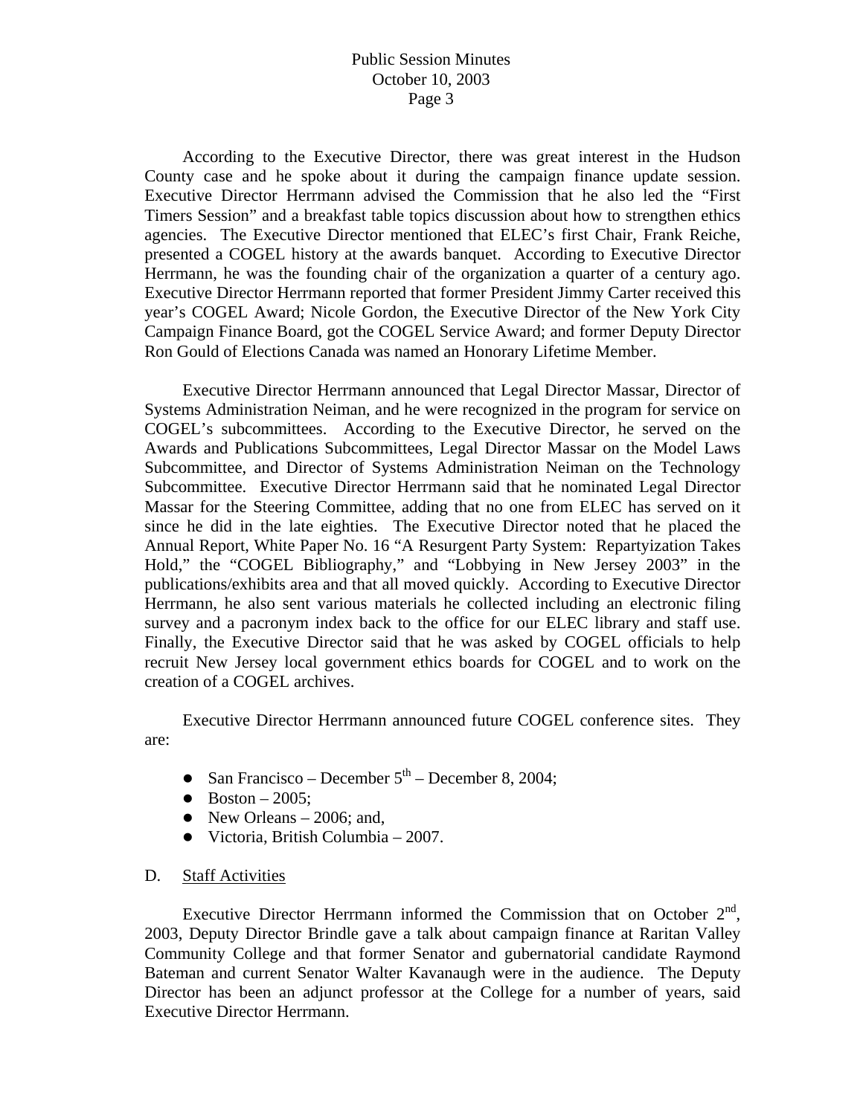# Public Session Minutes October 10, 2003 Page 3

According to the Executive Director, there was great interest in the Hudson County case and he spoke about it during the campaign finance update session. Executive Director Herrmann advised the Commission that he also led the "First Timers Session" and a breakfast table topics discussion about how to strengthen ethics agencies. The Executive Director mentioned that ELEC's first Chair, Frank Reiche, presented a COGEL history at the awards banquet. According to Executive Director Herrmann, he was the founding chair of the organization a quarter of a century ago. Executive Director Herrmann reported that former President Jimmy Carter received this year's COGEL Award; Nicole Gordon, the Executive Director of the New York City Campaign Finance Board, got the COGEL Service Award; and former Deputy Director Ron Gould of Elections Canada was named an Honorary Lifetime Member.

Executive Director Herrmann announced that Legal Director Massar, Director of Systems Administration Neiman, and he were recognized in the program for service on COGEL's subcommittees. According to the Executive Director, he served on the Awards and Publications Subcommittees, Legal Director Massar on the Model Laws Subcommittee, and Director of Systems Administration Neiman on the Technology Subcommittee. Executive Director Herrmann said that he nominated Legal Director Massar for the Steering Committee, adding that no one from ELEC has served on it since he did in the late eighties. The Executive Director noted that he placed the Annual Report, White Paper No. 16 "A Resurgent Party System: Repartyization Takes Hold," the "COGEL Bibliography," and "Lobbying in New Jersey 2003" in the publications/exhibits area and that all moved quickly. According to Executive Director Herrmann, he also sent various materials he collected including an electronic filing survey and a pacronym index back to the office for our ELEC library and staff use. Finally, the Executive Director said that he was asked by COGEL officials to help recruit New Jersey local government ethics boards for COGEL and to work on the creation of a COGEL archives.

Executive Director Herrmann announced future COGEL conference sites. They are:

- San Francisco December  $5<sup>th</sup>$  December 8, 2004;
- $\bullet$  Boston 2005;
- New Orleans  $-2006$ ; and,
- $\bullet$  Victoria, British Columbia 2007.

#### D. Staff Activities

Executive Director Herrmann informed the Commission that on October  $2<sup>nd</sup>$ , 2003, Deputy Director Brindle gave a talk about campaign finance at Raritan Valley Community College and that former Senator and gubernatorial candidate Raymond Bateman and current Senator Walter Kavanaugh were in the audience. The Deputy Director has been an adjunct professor at the College for a number of years, said Executive Director Herrmann.